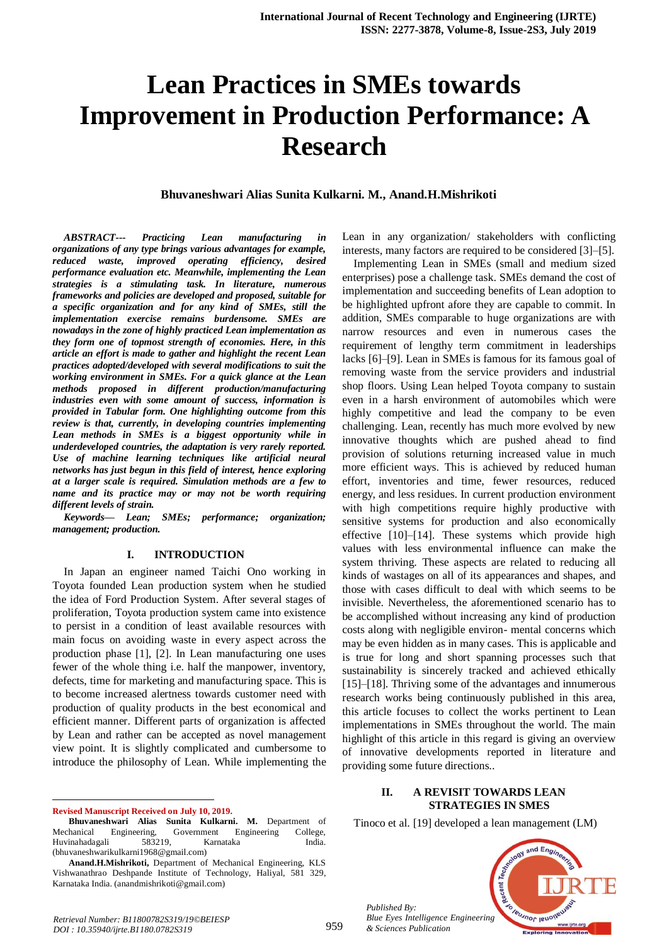# **Lean Practices in SMEs towards Improvement in Production Performance: A Research**

**Bhuvaneshwari Alias Sunita Kulkarni. M., Anand.H.Mishrikoti**

*ABSTRACT--- Practicing Lean manufacturing in organizations of any type brings various advantages for example, reduced waste, improved operating efficiency, desired performance evaluation etc. Meanwhile, implementing the Lean strategies is a stimulating task. In literature, numerous frameworks and policies are developed and proposed, suitable for a specific organization and for any kind of SMEs, still the implementation exercise remains burdensome. SMEs are nowadays in the zone of highly practiced Lean implementation as they form one of topmost strength of economies. Here, in this article an effort is made to gather and highlight the recent Lean practices adopted/developed with several modifications to suit the working environment in SMEs. For a quick glance at the Lean methods proposed in different production/manufacturing industries even with some amount of success, information is provided in Tabular form. One highlighting outcome from this review is that, currently, in developing countries implementing Lean methods in SMEs is a biggest opportunity while in underdeveloped countries, the adaptation is very rarely reported. Use of machine learning techniques like artificial neural networks has just begun in this field of interest, hence exploring at a larger scale is required. Simulation methods are a few to name and its practice may or may not be worth requiring different levels of strain.*

*Keywords— Lean; SMEs; performance; organization; management; production.*

#### **I. INTRODUCTION**

In Japan an engineer named Taichi Ono working in Toyota founded Lean production system when he studied the idea of Ford Production System. After several stages of proliferation, Toyota production system came into existence to persist in a condition of least available resources with main focus on avoiding waste in every aspect across the production phase [1], [2]. In Lean manufacturing one uses fewer of the whole thing i.e. half the manpower, inventory, defects, time for marketing and manufacturing space. This is to become increased alertness towards customer need with production of quality products in the best economical and efficient manner. Different parts of organization is affected by Lean and rather can be accepted as novel management view point. It is slightly complicated and cumbersome to introduce the philosophy of Lean. While implementing the

**Revised Manuscript Received on July 10, 2019.**

 $\overline{a}$ 

Lean in any organization/ stakeholders with conflicting interests, many factors are required to be considered [3]–[5].

Implementing Lean in SMEs (small and medium sized enterprises) pose a challenge task. SMEs demand the cost of implementation and succeeding benefits of Lean adoption to be highlighted upfront afore they are capable to commit. In addition, SMEs comparable to huge organizations are with narrow resources and even in numerous cases the requirement of lengthy term commitment in leaderships lacks [6]–[9]. Lean in SMEs is famous for its famous goal of removing waste from the service providers and industrial shop floors. Using Lean helped Toyota company to sustain even in a harsh environment of automobiles which were highly competitive and lead the company to be even challenging. Lean, recently has much more evolved by new innovative thoughts which are pushed ahead to find provision of solutions returning increased value in much more efficient ways. This is achieved by reduced human effort, inventories and time, fewer resources, reduced energy, and less residues. In current production environment with high competitions require highly productive with sensitive systems for production and also economically effective [10]–[14]. These systems which provide high values with less environmental influence can make the system thriving. These aspects are related to reducing all kinds of wastages on all of its appearances and shapes, and those with cases difficult to deal with which seems to be invisible. Nevertheless, the aforementioned scenario has to be accomplished without increasing any kind of production costs along with negligible environ- mental concerns which may be even hidden as in many cases. This is applicable and is true for long and short spanning processes such that sustainability is sincerely tracked and achieved ethically [15]–[18]. Thriving some of the advantages and innumerous research works being continuously published in this area, this article focuses to collect the works pertinent to Lean implementations in SMEs throughout the world. The main highlight of this article in this regard is giving an overview of innovative developments reported in literature and providing some future directions..

## **II. A REVISIT TOWARDS LEAN STRATEGIES IN SMES**

Tinoco et al. [19] developed a lean management (LM)



*Published By: Blue Eyes Intelligence Engineering & Sciences Publication* 

**Bhuvaneshwari Alias Sunita Kulkarni. M.** Department of Mechanical Engineering, Government Engineering College, Huvinahadagali 583219, Karnataka India. (bhuvaneshwarikulkarni1968@gmail.com)

**Anand.H.Mishrikoti,** Department of Mechanical Engineering, KLS Vishwanathrao Deshpande Institute of Technology, Haliyal, 581 329, Karnataka India. (anandmishrikoti@gmail.com)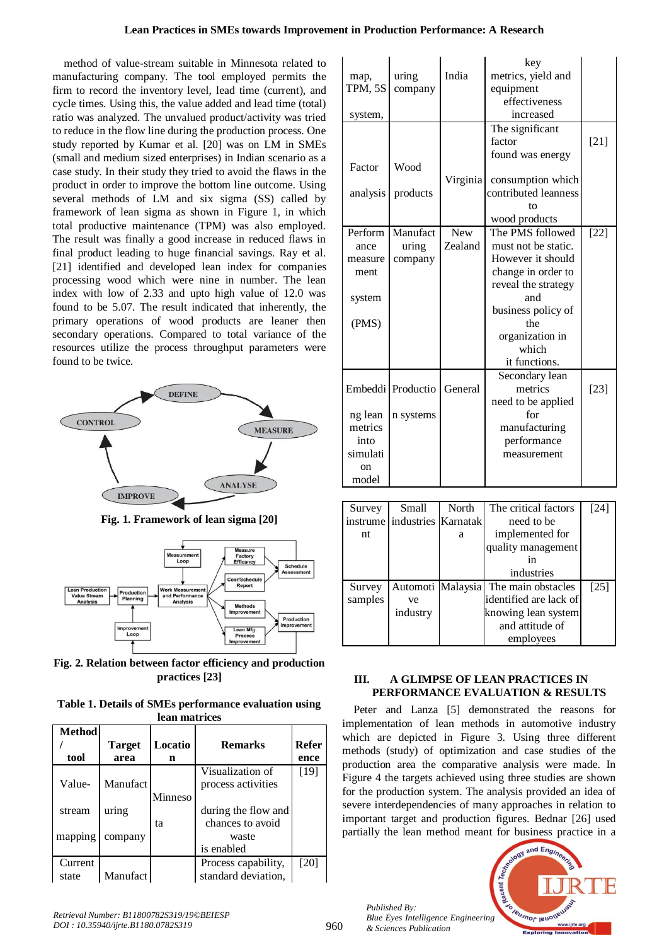method of value-stream suitable in Minnesota related to manufacturing company. The tool employed permits the firm to record the inventory level, lead time (current), and cycle times. Using this, the value added and lead time (total) ratio was analyzed. The unvalued product/activity was tried to reduce in the flow line during the production process. One study reported by Kumar et al. [20] was on LM in SMEs (small and medium sized enterprises) in Indian scenario as a case study. In their study they tried to avoid the flaws in the product in order to improve the bottom line outcome. Using several methods of LM and six sigma (SS) called by framework of lean sigma as shown in Figure 1, in which total productive maintenance (TPM) was also employed. The result was finally a good increase in reduced flaws in final product leading to huge financial savings. Ray et al. [21] identified and developed lean index for companies processing wood which were nine in number. The lean index with low of 2.33 and upto high value of 12.0 was found to be 5.07. The result indicated that inherently, the primary operations of wood products are leaner then secondary operations. Compared to total variance of the resources utilize the process throughput parameters were found to be twice.



**Fig. 1. Framework of lean sigma [20]**



**Fig. 2. Relation between factor efficiency and production practices [23]**

**Table 1. Details of SMEs performance evaluation using lean matrices**

| <b>Method</b> |               |         |                     |              |
|---------------|---------------|---------|---------------------|--------------|
|               | <b>Target</b> | Locatio | <b>Remarks</b>      | <b>Refer</b> |
| tool          | area          | n       |                     | ence         |
|               |               |         | Visualization of    | $[19]$       |
| Value-        | Manufact      |         | process activities  |              |
|               |               | Minneso |                     |              |
| stream        | uring         |         | during the flow and |              |
|               |               | ta      | chances to avoid    |              |
| mapping       | company       |         | waste               |              |
|               |               |         | is enabled          |              |
| Current       |               |         | Process capability, | [20]         |
| state         | Manufact      |         | standard deviation, |              |

|          |                   |            | key                    |        |
|----------|-------------------|------------|------------------------|--------|
| map,     | uring             | India      | metrics, yield and     |        |
| TPM, 5S  | company           |            | equipment              |        |
|          |                   |            | effectiveness          |        |
| system,  |                   |            | increased              |        |
|          |                   |            | The significant        |        |
|          |                   |            | factor                 | $[21]$ |
|          |                   |            | found was energy       |        |
| Factor   | Wood              |            |                        |        |
|          |                   | Virginia   | consumption which      |        |
| analysis | products          |            | contributed leanness   |        |
|          |                   |            | to                     |        |
|          |                   |            | wood products          |        |
| Perform  | Manufact          | <b>New</b> | The PMS followed       | $[22]$ |
| ance     | uring             | Zealand    | must not be static.    |        |
| measure  | company           |            | However it should      |        |
| ment     |                   |            | change in order to     |        |
|          |                   |            | reveal the strategy    |        |
|          |                   |            | and                    |        |
| system   |                   |            | business policy of     |        |
| (PMS)    |                   |            | the                    |        |
|          |                   |            | organization in        |        |
|          |                   |            | which                  |        |
|          |                   |            |                        |        |
|          |                   |            | it functions.          |        |
|          |                   |            | Secondary lean         |        |
|          | Embeddi Productio | General    | metrics                | $[23]$ |
|          |                   |            | need to be applied     |        |
| ng lean  | n systems         |            | for                    |        |
| metrics  |                   |            | manufacturing          |        |
| into     |                   |            | performance            |        |
| simulati |                   |            | measurement            |        |
| on       |                   |            |                        |        |
| model    |                   |            |                        |        |
|          |                   |            |                        |        |
| Survey   | Small             | North      | The critical factors   | $[24]$ |
| instrume | industries        | Karnatak   | need to be             |        |
| nt       |                   | a          | implemented for        |        |
|          |                   |            | quality management     |        |
|          |                   |            | in                     |        |
|          |                   |            | industries             |        |
| Survey   | Automoti          | Malaysia   | The main obstacles     | $[25]$ |
| samples  | ve                |            | identified are lack of |        |
|          | industry          |            | knowing lean system    |        |
|          |                   |            | and attitude of        |        |
|          |                   |            | employees              |        |
|          |                   |            |                        |        |

## **III. A GLIMPSE OF LEAN PRACTICES IN PERFORMANCE EVALUATION & RESULTS**

Peter and Lanza [5] demonstrated the reasons for implementation of lean methods in automotive industry which are depicted in Figure 3. Using three different methods (study) of optimization and case studies of the production area the comparative analysis were made. In Figure 4 the targets achieved using three studies are shown for the production system. The analysis provided an idea of severe interdependencies of many approaches in relation to important target and production figures. Bednar [26] used partially the lean method meant for business practice in a



960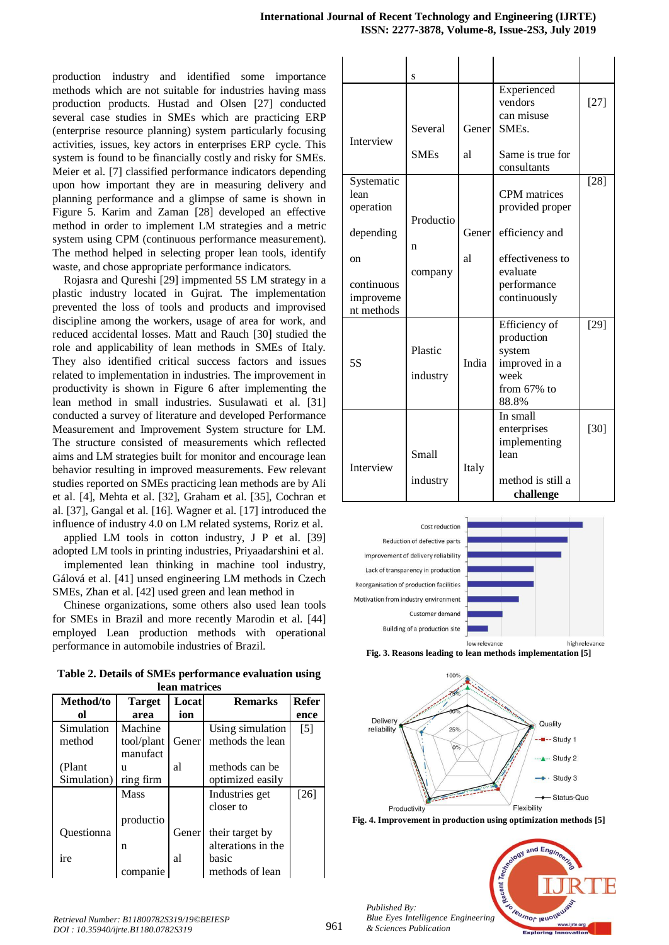production industry and identified some importance methods which are not suitable for industries having mass production products. Hustad and Olsen [27] conducted several case studies in SMEs which are practicing ERP (enterprise resource planning) system particularly focusing activities, issues, key actors in enterprises ERP cycle. This system is found to be financially costly and risky for SMEs. Meier et al. [7] classified performance indicators depending upon how important they are in measuring delivery and planning performance and a glimpse of same is shown in Figure 5. Karim and Zaman [28] developed an effective method in order to implement LM strategies and a metric system using CPM (continuous performance measurement). The method helped in selecting proper lean tools, identify waste, and chose appropriate performance indicators.

Rojasra and Qureshi [29] impmented 5S LM strategy in a plastic industry located in Gujrat. The implementation prevented the loss of tools and products and improvised discipline among the workers, usage of area for work, and reduced accidental losses. Matt and Rauch [30] studied the role and applicability of lean methods in SMEs of Italy. They also identified critical success factors and issues related to implementation in industries. The improvement in productivity is shown in Figure 6 after implementing the lean method in small industries. Susulawati et al. [31] conducted a survey of literature and developed Performance Measurement and Improvement System structure for LM. The structure consisted of measurements which reflected aims and LM strategies built for monitor and encourage lean behavior resulting in improved measurements. Few relevant studies reported on SMEs practicing lean methods are by Ali et al. [4], Mehta et al. [32], Graham et al. [35], Cochran et al. [37], Gangal et al. [16]. Wagner et al. [17] introduced the influence of industry 4.0 on LM related systems, Roriz et al.

applied LM tools in cotton industry, J P et al. [39] adopted LM tools in printing industries, Priyaadarshini et al.

implemented lean thinking in machine tool industry, Gálová et al. [41] unsed engineering LM methods in Czech SMEs, Zhan et al. [42] used green and lean method in

Chinese organizations, some others also used lean tools for SMEs in Brazil and more recently Marodin et al. [44] employed Lean production methods with operational performance in automobile industries of Brazil.

| Table 2. Details of SMEs performance evaluation using |
|-------------------------------------------------------|
| lean matrices                                         |

| Method/to   | <b>Target</b> | Locat | <b>Remarks</b>     | <b>Refer</b>      |
|-------------|---------------|-------|--------------------|-------------------|
| ol          | area          | ion   |                    | ence              |
| Simulation  | Machine       |       | Using simulation   | $\lceil 5 \rceil$ |
| method      | tool/plant    | Gener | methods the lean   |                   |
|             | manufact      |       |                    |                   |
| (Plant      | u             | al    | methods can be     |                   |
| Simulation) | ring firm     |       | optimized easily   |                   |
|             | <b>Mass</b>   |       | Industries get     | [26]              |
|             |               |       | closer to          |                   |
|             | productio     |       |                    |                   |
| Questionna  |               | Gener | their target by    |                   |
|             | n             |       | alterations in the |                   |
| ire         |               | al    | basic              |                   |
|             | companie      |       | methods of lean    |                   |

|                    | S           |       |                                  |        |
|--------------------|-------------|-------|----------------------------------|--------|
|                    |             |       | Experienced                      |        |
|                    |             |       | vendors                          | $[27]$ |
|                    | Several     |       | can misuse<br>SME <sub>s</sub> . |        |
| Interview          |             | Gener |                                  |        |
|                    | <b>SMEs</b> | al    | Same is true for                 |        |
|                    |             |       | consultants                      |        |
|                    |             |       |                                  |        |
| Systematic<br>lean |             |       | <b>CPM</b> matrices              | $[28]$ |
|                    |             |       | provided proper                  |        |
| operation          | Productio   |       |                                  |        |
| depending          |             | Gener | efficiency and                   |        |
|                    | n           |       |                                  |        |
| on                 |             | al    | effectiveness to                 |        |
|                    | company     |       | evaluate                         |        |
| continuous         |             |       | performance                      |        |
| improveme          |             |       | continuously                     |        |
| nt methods         |             |       |                                  |        |
|                    |             |       | Efficiency of                    | $[29]$ |
|                    |             |       | production                       |        |
|                    | Plastic     |       | system                           |        |
| 5S                 |             | India | improved in a                    |        |
|                    | industry    |       | week                             |        |
|                    |             |       | from $67\%$ to                   |        |
|                    |             |       | 88.8%                            |        |
|                    |             |       | In small                         |        |
|                    |             |       | enterprises                      | $[30]$ |
|                    |             |       | implementing                     |        |
|                    | Small       |       | lean                             |        |
| Interview          |             | Italy |                                  |        |
|                    | industry    |       | method is still a                |        |
|                    |             |       | challenge                        |        |



**Fig. 3. Reasons leading to lean methods implementation [5]**





.cent

and Eng

leusnor leuc

*Published By: Blue Eyes Intelligence Engineering & Sciences Publication*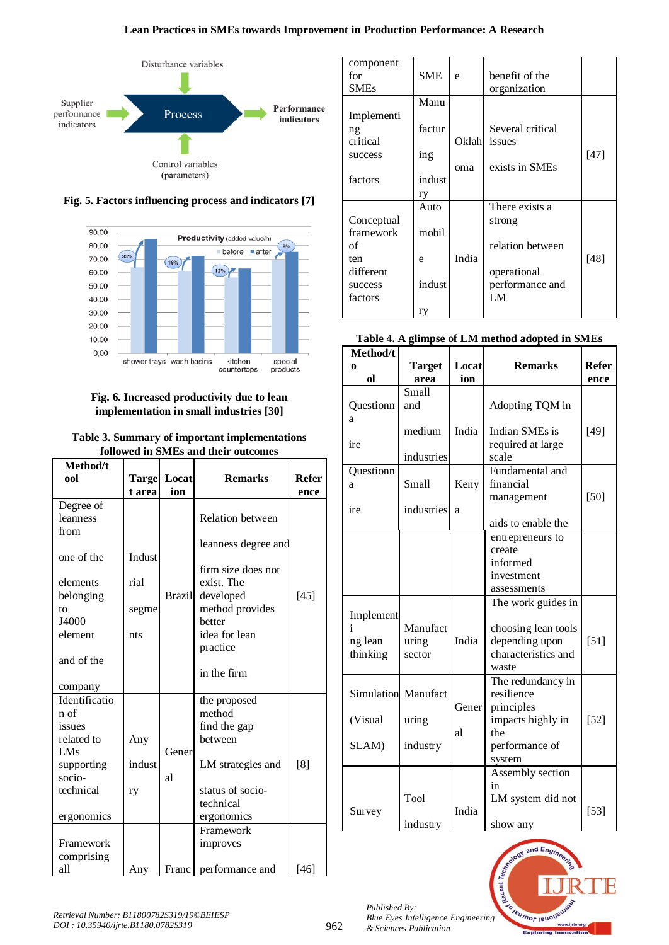## **Lean Practices in SMEs towards Improvement in Production Performance: A Research**



**Fig. 5. Factors influencing process and indicators [7]**



**Fig. 6. Increased productivity due to lean implementation in small industries [30]**

**Table 3. Summary of important implementations followed in SMEs and their outcomes**

| Method/t             |              |               |                               |              |
|----------------------|--------------|---------------|-------------------------------|--------------|
| ool                  | <b>Targe</b> | Locat         | <b>Remarks</b>                | <b>Refer</b> |
|                      | t area       | ion           |                               | ence         |
| Degree of            |              |               |                               |              |
| leanness             |              |               | Relation between              |              |
| from                 |              |               |                               |              |
|                      |              |               | leanness degree and           |              |
| one of the           | Indust       |               |                               |              |
|                      |              |               | firm size does not            |              |
| elements             | rial         |               | exist. The                    |              |
| belonging            |              | <b>Brazil</b> | developed                     | $[45]$       |
| to                   | segme        |               | method provides               |              |
| J4000                |              |               | better                        |              |
| element              | nts          |               | idea for lean                 |              |
|                      |              |               | practice                      |              |
| and of the           |              |               |                               |              |
|                      |              |               | in the firm                   |              |
| company              |              |               |                               |              |
| Identificatio        |              |               | the proposed                  |              |
| n of                 |              |               | method                        |              |
| issues               |              |               | find the gap                  |              |
| related to           | Any          |               | between                       |              |
| LMs                  |              | Gener         |                               |              |
| supporting<br>socio- | indust       | al            | LM strategies and             | [8]          |
| technical            |              |               |                               |              |
|                      | ry           |               | status of socio-<br>technical |              |
|                      |              |               |                               |              |
| ergonomics           |              |               | ergonomics                    |              |
|                      |              |               | Framework                     |              |
| Framework            |              |               | improves                      |              |
| comprising           |              |               |                               |              |
| all                  | Any          |               | Franc performance and         | [46]         |

| component<br>for<br><b>SMEs</b> | <b>SME</b> | e     | benefit of the<br>organization |        |
|---------------------------------|------------|-------|--------------------------------|--------|
|                                 | Manu       |       |                                |        |
| Implementi                      |            |       |                                |        |
| ng                              | factur     |       | Several critical               |        |
| critical                        |            | Oklah | issues                         |        |
| success                         | ing        |       |                                | [47]   |
|                                 |            | oma   | exists in SMEs                 |        |
| factors                         | indust     |       |                                |        |
|                                 | ry         |       |                                |        |
|                                 | Auto       |       | There exists a                 |        |
| Conceptual                      |            |       | strong                         |        |
| framework                       | mobil      |       |                                |        |
| of                              |            |       | relation between               |        |
| ten                             | e          | India |                                | $[48]$ |
| different                       |            |       | operational                    |        |
| success                         | indust     |       | performance and                |        |
| factors                         |            |       | LM                             |        |
|                                 | ry         |       |                                |        |

## **Table 4. A glimpse of LM method adopted in SMEs**

| Method/t    |                            |       | rable -n in gumpbe of Entrancemou adopted in Dividio |              |
|-------------|----------------------------|-------|------------------------------------------------------|--------------|
| $\mathbf o$ | <b>Target</b>              | Locat | <b>Remarks</b>                                       | <b>Refer</b> |
| ol          | area                       | ion   |                                                      | ence         |
|             | Small                      |       |                                                      |              |
| Questionn   | and                        |       | Adopting TQM in                                      |              |
| a           |                            |       |                                                      |              |
|             | medium                     | India | Indian SMEs is                                       | $[49]$       |
| ire         |                            |       | required at large                                    |              |
|             | industries                 |       | scale                                                |              |
| Questionn   |                            |       | Fundamental and                                      |              |
|             | Small                      |       | financial                                            |              |
| a           |                            | Keny  |                                                      |              |
| ire         |                            |       | management                                           | $[50]$       |
|             | industries                 | a     |                                                      |              |
|             |                            |       | aids to enable the                                   |              |
|             |                            |       | entrepreneurs to                                     |              |
|             |                            |       | create                                               |              |
|             |                            |       | informed                                             |              |
|             |                            |       | investment                                           |              |
|             |                            |       | assessments                                          |              |
|             |                            |       | The work guides in                                   |              |
| Implement   |                            |       |                                                      |              |
|             | Manufact                   |       | choosing lean tools                                  |              |
| ng lean     | uring                      | India | depending upon                                       | $[51]$       |
| thinking    | sector                     |       | characteristics and                                  |              |
|             |                            |       | waste                                                |              |
|             |                            |       | The redundancy in                                    |              |
|             | <b>Simulation Manufact</b> |       | resilience                                           |              |
|             |                            | Gener | principles                                           |              |
| (Visual     | uring                      |       | impacts highly in                                    | $[52]$       |
|             |                            | al    | the                                                  |              |
| SLAM)       | industry                   |       | performance of                                       |              |
|             |                            |       | system                                               |              |
|             |                            |       | Assembly section                                     |              |
|             |                            |       | in                                                   |              |
|             | Tool                       |       | LM system did not                                    |              |
| Survey      |                            | India |                                                      | $[53]$       |
|             | industry                   |       | show any                                             |              |



*Published By: & Sciences Publication*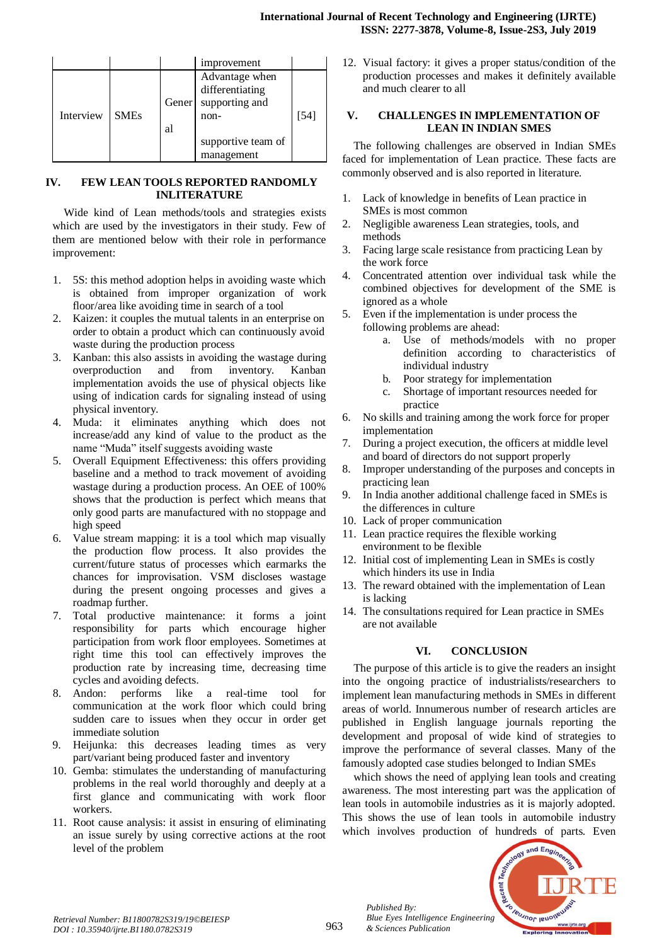|           |             |             | improvement                                                                                       |  |
|-----------|-------------|-------------|---------------------------------------------------------------------------------------------------|--|
| Interview | <b>SMEs</b> | Gener<br>al | Advantage when<br>differentiating<br>supporting and<br>$non-$<br>supportive team of<br>management |  |

### **IV. FEW LEAN TOOLS REPORTED RANDOMLY INLITERATURE**

Wide kind of Lean methods/tools and strategies exists which are used by the investigators in their study. Few of them are mentioned below with their role in performance improvement:

- 1. 5S: this method adoption helps in avoiding waste which is obtained from improper organization of work floor/area like avoiding time in search of a tool
- 2. Kaizen: it couples the mutual talents in an enterprise on order to obtain a product which can continuously avoid waste during the production process
- 3. Kanban: this also assists in avoiding the wastage during overproduction and from inventory. Kanban implementation avoids the use of physical objects like using of indication cards for signaling instead of using physical inventory.
- 4. Muda: it eliminates anything which does not increase/add any kind of value to the product as the name "Muda" itself suggests avoiding waste
- 5. Overall Equipment Effectiveness: this offers providing baseline and a method to track movement of avoiding wastage during a production process. An OEE of 100% shows that the production is perfect which means that only good parts are manufactured with no stoppage and high speed
- 6. Value stream mapping: it is a tool which map visually the production flow process. It also provides the current/future status of processes which earmarks the chances for improvisation. VSM discloses wastage during the present ongoing processes and gives a roadmap further.
- 7. Total productive maintenance: it forms a joint responsibility for parts which encourage higher participation from work floor employees. Sometimes at right time this tool can effectively improves the production rate by increasing time, decreasing time cycles and avoiding defects.
- 8. Andon: performs like a real-time tool for communication at the work floor which could bring sudden care to issues when they occur in order get immediate solution
- 9. Heijunka: this decreases leading times as very part/variant being produced faster and inventory
- 10. Gemba: stimulates the understanding of manufacturing problems in the real world thoroughly and deeply at a first glance and communicating with work floor workers.
- 11. Root cause analysis: it assist in ensuring of eliminating an issue surely by using corrective actions at the root level of the problem

12. Visual factory: it gives a proper status/condition of the production processes and makes it definitely available and much clearer to all

## **V. CHALLENGES IN IMPLEMENTATION OF LEAN IN INDIAN SMES**

The following challenges are observed in Indian SMEs faced for implementation of Lean practice. These facts are commonly observed and is also reported in literature.

- 1. Lack of knowledge in benefits of Lean practice in SMEs is most common
- 2. Negligible awareness Lean strategies, tools, and methods
- 3. Facing large scale resistance from practicing Lean by the work force
- 4. Concentrated attention over individual task while the combined objectives for development of the SME is ignored as a whole
- 5. Even if the implementation is under process the following problems are ahead:
	- a. Use of methods/models with no proper definition according to characteristics of individual industry
	- b. Poor strategy for implementation
	- c. Shortage of important resources needed for practice
- 6. No skills and training among the work force for proper implementation
- 7. During a project execution, the officers at middle level and board of directors do not support properly
- 8. Improper understanding of the purposes and concepts in practicing lean
- 9. In India another additional challenge faced in SMEs is the differences in culture
- 10. Lack of proper communication
- 11. Lean practice requires the flexible working environment to be flexible
- 12. Initial cost of implementing Lean in SMEs is costly which hinders its use in India
- 13. The reward obtained with the implementation of Lean is lacking
- 14. The consultations required for Lean practice in SMEs are not available

## **VI. CONCLUSION**

The purpose of this article is to give the readers an insight into the ongoing practice of industrialists/researchers to implement lean manufacturing methods in SMEs in different areas of world. Innumerous number of research articles are published in English language journals reporting the development and proposal of wide kind of strategies to improve the performance of several classes. Many of the famously adopted case studies belonged to Indian SMEs

which shows the need of applying lean tools and creating awareness. The most interesting part was the application of lean tools in automobile industries as it is majorly adopted. This shows the use of lean tools in automobile industry which involves production of hundreds of parts. Even



*Published By:*

*& Sciences Publication*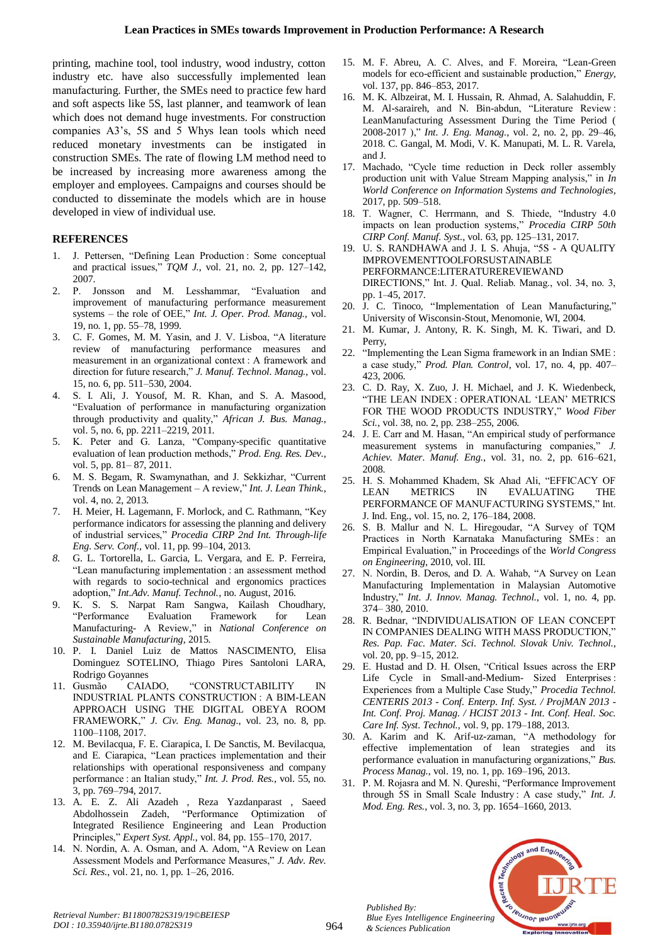printing, machine tool, tool industry, wood industry, cotton industry etc. have also successfully implemented lean manufacturing. Further, the SMEs need to practice few hard and soft aspects like 5S, last planner, and teamwork of lean which does not demand huge investments. For construction companies A3's, 5S and 5 Whys lean tools which need reduced monetary investments can be instigated in construction SMEs. The rate of flowing LM method need to be increased by increasing more awareness among the employer and employees. Campaigns and courses should be conducted to disseminate the models which are in house developed in view of individual use.

## **REFERENCES**

- 1. J. Pettersen, "Defining Lean Production : Some conceptual and practical issues," *TQM J.*, vol. 21, no. 2, pp. 127–142, 2007.
- 2. P. Jonsson and M. Lesshammar, "Evaluation and improvement of manufacturing performance measurement systems – the role of OEE," *Int. J. Oper. Prod. Manag.*, vol. 19, no. 1, pp. 55–78, 1999.
- 3. C. F. Gomes, M. M. Yasin, and J. V. Lisboa, "A literature review of manufacturing performance measures and measurement in an organizational context : A framework and direction for future research," *J. Manuf. Technol. Manag.*, vol. 15, no. 6, pp. 511–530, 2004.
- 4. S. I. Ali, J. Yousof, M. R. Khan, and S. A. Masood, "Evaluation of performance in manufacturing organization through productivity and quality," *African J. Bus. Manag.*, vol. 5, no. 6, pp. 2211–2219, 2011.
- 5. K. Peter and G. Lanza, "Company-specific quantitative evaluation of lean production methods," *Prod. Eng. Res. Dev.*, vol. 5, pp. 81– 87, 2011.
- 6. M. S. Begam, R. Swamynathan, and J. Sekkizhar, "Current Trends on Lean Management – A review," *Int. J. Lean Think.*, vol. 4, no. 2, 2013.
- 7. H. Meier, H. Lagemann, F. Morlock, and C. Rathmann, "Key performance indicators for assessing the planning and delivery of industrial services," *Procedia CIRP 2nd Int. Through-life Eng. Serv. Conf.*, vol. 11, pp. 99–104, 2013.
- *8.* G. L. Tortorella, L. Garcia, L. Vergara, and E. P. Ferreira, "Lean manufacturing implementation : an assessment method with regards to socio-technical and ergonomics practices adoption," *Int.Adv. Manuf. Technol.*, no. August, 2016.
- 9. K. S. S. Narpat Ram Sangwa, Kailash Choudhary, "Performance Evaluation Framework for Lean Manufacturing- A Review," in *National Conference on Sustainable Manufacturing*, 2015.
- 10. P. I. Daniel Luiz de Mattos NASCIMENTO, Elisa Dominguez SOTELINO, Thiago Pires Santoloni LARA, Rodrigo Goyannes
- 11. Gusmão CAIADO, "CONSTRUCTABILITY IN INDUSTRIAL PLANTS CONSTRUCTION : A BIM-LEAN APPROACH USING THE DIGITAL OBEYA ROOM FRAMEWORK," *J. Civ. Eng. Manag.*, vol. 23, no. 8, pp. 1100–1108, 2017.
- 12. M. Bevilacqua, F. E. Ciarapica, I. De Sanctis, M. Bevilacqua, and E. Ciarapica, "Lean practices implementation and their relationships with operational responsiveness and company performance : an Italian study," *Int. J. Prod. Res.*, vol. 55, no. 3, pp. 769–794, 2017.
- 13. A. E. Z. Ali Azadeh , Reza Yazdanparast , Saeed Abdolhossein Zadeh, "Performance Optimization of Integrated Resilience Engineering and Lean Production Principles," *Expert Syst. Appl.*, vol. 84, pp. 155–170, 2017.
- 14. N. Nordin, A. A. Osman, and A. Adom, "A Review on Lean Assessment Models and Performance Measures," *J. Adv. Rev. Sci. Res.*, vol. 21, no. 1, pp. 1–26, 2016.
- 15. M. F. Abreu, A. C. Alves, and F. Moreira, "Lean-Green models for eco-efficient and sustainable production," *Energy*, vol. 137, pp. 846–853, 2017.
- 16. M. K. Albzeirat, M. I. Hussain, R. Ahmad, A. Salahuddin, F. M. Al-saraireh, and N. Bin-abdun, "Literature Review : LeanManufacturing Assessment During the Time Period ( 2008-2017 )," *Int. J. Eng. Manag.*, vol. 2, no. 2, pp. 29–46, 2018. C. Gangal, M. Modi, V. K. Manupati, M. L. R. Varela, and J.
- 17. Machado, "Cycle time reduction in Deck roller assembly production unit with Value Stream Mapping analysis," in *In World Conference on Information Systems and Technologies*, 2017, pp. 509–518.
- 18. T. Wagner, C. Herrmann, and S. Thiede, "Industry 4.0 impacts on lean production systems," *Procedia CIRP 50th CIRP Conf. Manuf. Syst.*, vol. 63, pp. 125–131, 2017.
- 19. U. S. RANDHAWA and J. I. S. Ahuja, "5S A QUALITY IMPROVEMENTTOOLFORSUSTAINABLE PERFORMANCE:LITERATUREREVIEWAND DIRECTIONS," Int. J. Qual. Reliab. Manag., vol. 34, no. 3, pp. 1–45, 2017.
- 20. J. C. Tinoco, "Implementation of Lean Manufacturing," University of Wisconsin-Stout, Menomonie, WI, 2004.
- 21. M. Kumar, J. Antony, R. K. Singh, M. K. Tiwari, and D. Perry,
- 22. "Implementing the Lean Sigma framework in an Indian SME : a case study," *Prod. Plan. Control*, vol. 17, no. 4, pp. 407– 423, 2006.
- 23. C. D. Ray, X. Zuo, J. H. Michael, and J. K. Wiedenbeck, "THE LEAN INDEX : OPERATIONAL 'LEAN' METRICS FOR THE WOOD PRODUCTS INDUSTRY," *Wood Fiber Sci.*, vol. 38, no. 2, pp. 238–255, 2006.
- 24. J. E. Carr and M. Hasan, "An empirical study of performance measurement systems in manufacturing companies," *J. Achiev. Mater. Manuf. Eng.*, vol. 31, no. 2, pp. 616–621, 2008.
- 25. H. S. Mohammed Khadem, Sk Ahad Ali, "EFFICACY OF LEAN METRICS IN EVALUATING THE PERFORMANCE OF MANUFACTURING SYSTEMS," Int. J. Ind. Eng., vol. 15, no. 2, 176–184, 2008.
- 26. S. B. Mallur and N. L. Hiregoudar, "A Survey of TQM Practices in North Karnataka Manufacturing SMEs : an Empirical Evaluation," in Proceedings of the *World Congress on Engineering*, 2010, vol. III.
- 27. N. Nordin, B. Deros, and D. A. Wahab, "A Survey on Lean Manufacturing Implementation in Malaysian Automotive Industry," *Int. J. Innov. Manag. Technol.*, vol. 1, no. 4, pp. 374– 380, 2010.
- 28. R. Bednar, "INDIVIDUALISATION OF LEAN CONCEPT IN COMPANIES DEALING WITH MASS PRODUCTION," *Res. Pap. Fac. Mater. Sci. Technol. Slovak Univ. Technol.*, vol. 20, pp. 9-15, 2012.
- 29. E. Hustad and D. H. Olsen, "Critical Issues across the ERP Life Cycle in Small-and-Medium- Sized Enterprises : Experiences from a Multiple Case Study," *Procedia Technol. CENTERIS 2013 - Conf. Enterp. Inf. Syst. / ProjMAN 2013 - Int. Conf. Proj. Manag. / HCIST 2013 - Int. Conf. Heal. Soc. Care Inf. Syst. Technol.*, vol. 9, pp. 179–188, 2013.
- 30. A. Karim and K. Arif-uz-zaman, "A methodology for effective implementation of lean strategies and its performance evaluation in manufacturing organizations," *Bus. Process Manag.*, vol. 19, no. 1, pp. 169–196, 2013.
- 31. P. M. Rojasra and M. N. Qureshi, "Performance Improvement through 5S in Small Scale Industry : A case study," *Int. J. Mod. Eng. Res.*, vol. 3, no. 3, pp. 1654–1660, 2013.



*Published By:*

*& Sciences Publication*